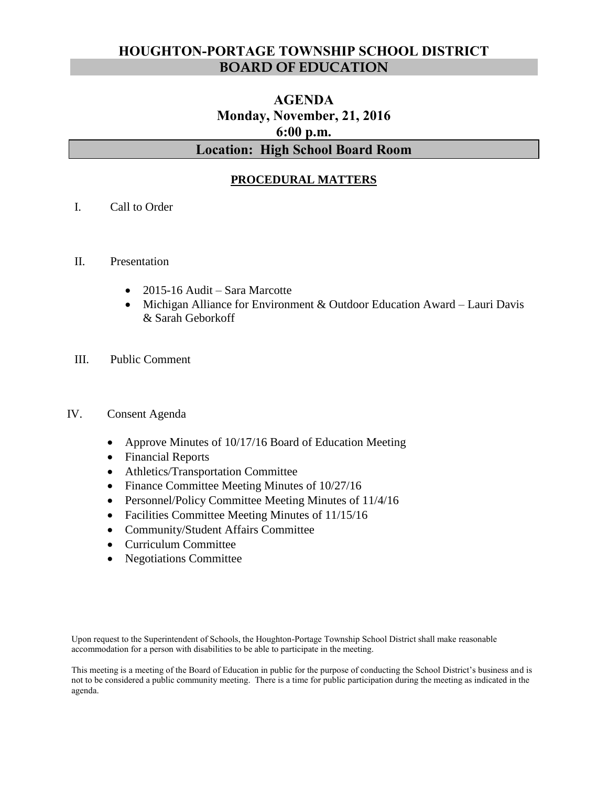# **HOUGHTON-PORTAGE TOWNSHIP SCHOOL DISTRICT BOARD OF EDUCATION**

# **AGENDA Monday, November, 21, 2016 6:00 p.m. Location: High School Board Room**

# **PROCEDURAL MATTERS**

- I. Call to Order
- II. Presentation
	- 2015-16 Audit Sara Marcotte
	- Michigan Alliance for Environment & Outdoor Education Award Lauri Davis & Sarah Geborkoff
- III. Public Comment

#### IV. Consent Agenda

- Approve Minutes of 10/17/16 Board of Education Meeting
- Financial Reports
- Athletics/Transportation Committee
- Finance Committee Meeting Minutes of  $10/27/16$
- Personnel/Policy Committee Meeting Minutes of 11/4/16
- Facilities Committee Meeting Minutes of 11/15/16
- Community/Student Affairs Committee
- Curriculum Committee
- Negotiations Committee

Upon request to the Superintendent of Schools, the Houghton-Portage Township School District shall make reasonable accommodation for a person with disabilities to be able to participate in the meeting.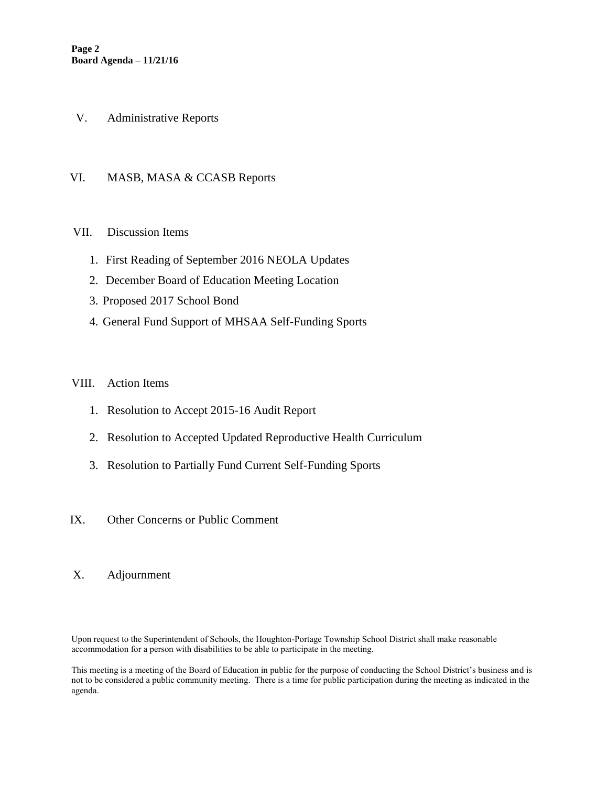- V. Administrative Reports
- VI. MASB, MASA & CCASB Reports

## VII. Discussion Items

- 1. First Reading of September 2016 NEOLA Updates
- 2. December Board of Education Meeting Location
- 3. Proposed 2017 School Bond
- 4. General Fund Support of MHSAA Self-Funding Sports

#### VIII. Action Items

- 1. Resolution to Accept 2015-16 Audit Report
- 2. Resolution to Accepted Updated Reproductive Health Curriculum
- 3. Resolution to Partially Fund Current Self-Funding Sports
- IX. Other Concerns or Public Comment
- X. Adjournment

Upon request to the Superintendent of Schools, the Houghton-Portage Township School District shall make reasonable accommodation for a person with disabilities to be able to participate in the meeting.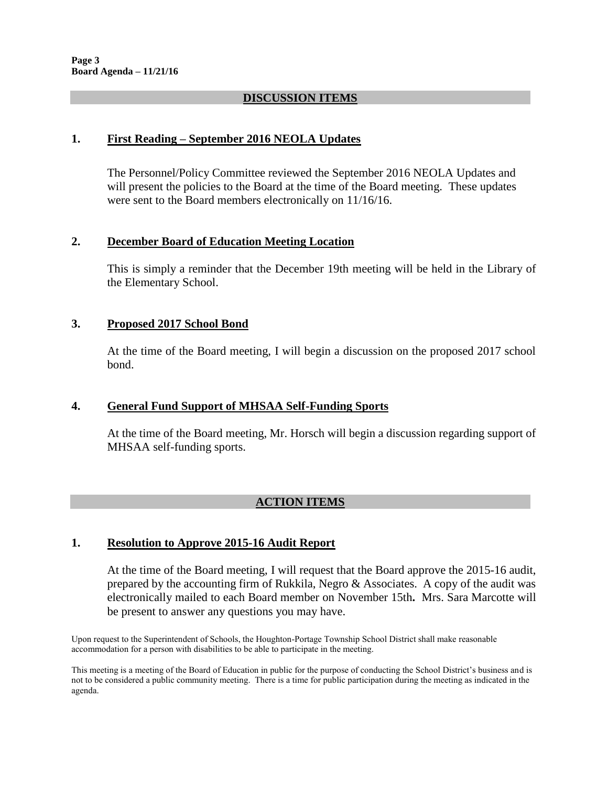## **DISCUSSION ITEMS**

### **1. First Reading – September 2016 NEOLA Updates**

The Personnel/Policy Committee reviewed the September 2016 NEOLA Updates and will present the policies to the Board at the time of the Board meeting. These updates were sent to the Board members electronically on 11/16/16.

#### **2. December Board of Education Meeting Location**

This is simply a reminder that the December 19th meeting will be held in the Library of the Elementary School.

#### **3. Proposed 2017 School Bond**

At the time of the Board meeting, I will begin a discussion on the proposed 2017 school bond.

## **4. General Fund Support of MHSAA Self-Funding Sports**

At the time of the Board meeting, Mr. Horsch will begin a discussion regarding support of MHSAA self-funding sports.

# **ACTION ITEMS**

## **1. Resolution to Approve 2015-16 Audit Report**

At the time of the Board meeting, I will request that the Board approve the 2015-16 audit, prepared by the accounting firm of Rukkila, Negro & Associates. A copy of the audit was electronically mailed to each Board member on November 15th**.** Mrs. Sara Marcotte will be present to answer any questions you may have.

Upon request to the Superintendent of Schools, the Houghton-Portage Township School District shall make reasonable accommodation for a person with disabilities to be able to participate in the meeting.